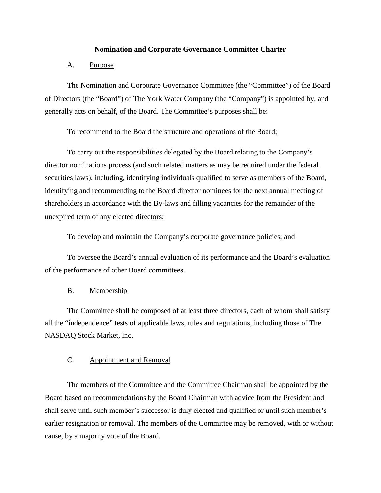### **Nomination and Corporate Governance Committee Charter**

## A. Purpose

The Nomination and Corporate Governance Committee (the "Committee") of the Board of Directors (the "Board") of The York Water Company (the "Company") is appointed by, and generally acts on behalf, of the Board. The Committee's purposes shall be:

To recommend to the Board the structure and operations of the Board;

To carry out the responsibilities delegated by the Board relating to the Company's director nominations process (and such related matters as may be required under the federal securities laws), including, identifying individuals qualified to serve as members of the Board, identifying and recommending to the Board director nominees for the next annual meeting of shareholders in accordance with the By-laws and filling vacancies for the remainder of the unexpired term of any elected directors;

To develop and maintain the Company's corporate governance policies; and

To oversee the Board's annual evaluation of its performance and the Board's evaluation of the performance of other Board committees.

#### B. Membership

The Committee shall be composed of at least three directors, each of whom shall satisfy all the "independence" tests of applicable laws, rules and regulations, including those of The NASDAQ Stock Market, Inc.

## C. Appointment and Removal

The members of the Committee and the Committee Chairman shall be appointed by the Board based on recommendations by the Board Chairman with advice from the President and shall serve until such member's successor is duly elected and qualified or until such member's earlier resignation or removal. The members of the Committee may be removed, with or without cause, by a majority vote of the Board.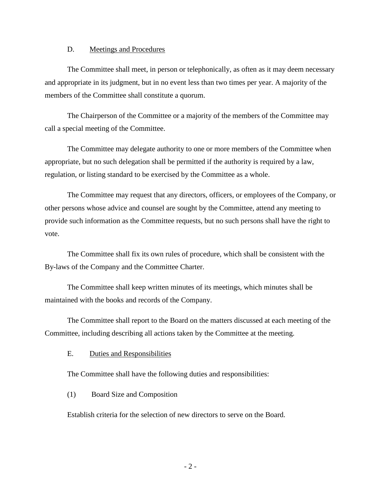### D. Meetings and Procedures

The Committee shall meet, in person or telephonically, as often as it may deem necessary and appropriate in its judgment, but in no event less than two times per year. A majority of the members of the Committee shall constitute a quorum.

The Chairperson of the Committee or a majority of the members of the Committee may call a special meeting of the Committee.

The Committee may delegate authority to one or more members of the Committee when appropriate, but no such delegation shall be permitted if the authority is required by a law, regulation, or listing standard to be exercised by the Committee as a whole.

The Committee may request that any directors, officers, or employees of the Company, or other persons whose advice and counsel are sought by the Committee, attend any meeting to provide such information as the Committee requests, but no such persons shall have the right to vote.

The Committee shall fix its own rules of procedure, which shall be consistent with the By-laws of the Company and the Committee Charter.

The Committee shall keep written minutes of its meetings, which minutes shall be maintained with the books and records of the Company.

The Committee shall report to the Board on the matters discussed at each meeting of the Committee, including describing all actions taken by the Committee at the meeting.

E. Duties and Responsibilities

The Committee shall have the following duties and responsibilities:

(1) Board Size and Composition

Establish criteria for the selection of new directors to serve on the Board.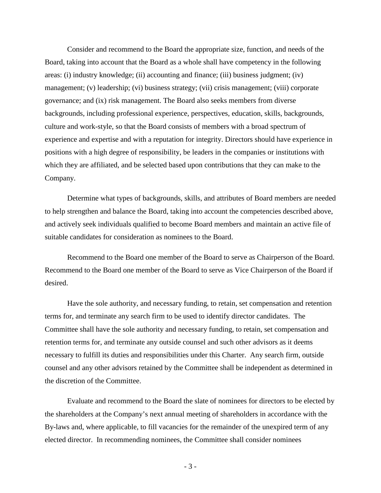Consider and recommend to the Board the appropriate size, function, and needs of the Board, taking into account that the Board as a whole shall have competency in the following areas: (i) industry knowledge; (ii) accounting and finance; (iii) business judgment; (iv) management; (v) leadership; (vi) business strategy; (vii) crisis management; (viii) corporate governance; and (ix) risk management. The Board also seeks members from diverse backgrounds, including professional experience, perspectives, education, skills, backgrounds, culture and work-style, so that the Board consists of members with a broad spectrum of experience and expertise and with a reputation for integrity. Directors should have experience in positions with a high degree of responsibility, be leaders in the companies or institutions with which they are affiliated, and be selected based upon contributions that they can make to the Company.

Determine what types of backgrounds, skills, and attributes of Board members are needed to help strengthen and balance the Board, taking into account the competencies described above, and actively seek individuals qualified to become Board members and maintain an active file of suitable candidates for consideration as nominees to the Board.

Recommend to the Board one member of the Board to serve as Chairperson of the Board. Recommend to the Board one member of the Board to serve as Vice Chairperson of the Board if desired.

Have the sole authority, and necessary funding, to retain, set compensation and retention terms for, and terminate any search firm to be used to identify director candidates. The Committee shall have the sole authority and necessary funding, to retain, set compensation and retention terms for, and terminate any outside counsel and such other advisors as it deems necessary to fulfill its duties and responsibilities under this Charter. Any search firm, outside counsel and any other advisors retained by the Committee shall be independent as determined in the discretion of the Committee.

Evaluate and recommend to the Board the slate of nominees for directors to be elected by the shareholders at the Company's next annual meeting of shareholders in accordance with the By-laws and, where applicable, to fill vacancies for the remainder of the unexpired term of any elected director. In recommending nominees, the Committee shall consider nominees

- 3 -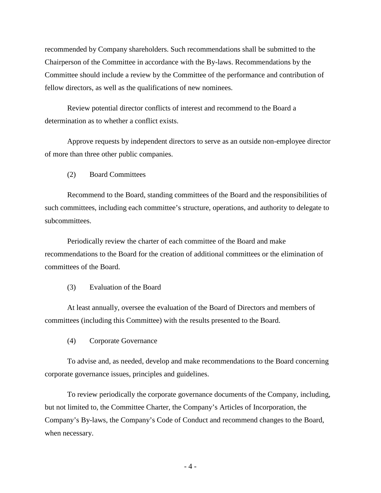recommended by Company shareholders. Such recommendations shall be submitted to the Chairperson of the Committee in accordance with the By-laws. Recommendations by the Committee should include a review by the Committee of the performance and contribution of fellow directors, as well as the qualifications of new nominees.

Review potential director conflicts of interest and recommend to the Board a determination as to whether a conflict exists.

Approve requests by independent directors to serve as an outside non-employee director of more than three other public companies.

(2) Board Committees

Recommend to the Board, standing committees of the Board and the responsibilities of such committees, including each committee's structure, operations, and authority to delegate to subcommittees.

Periodically review the charter of each committee of the Board and make recommendations to the Board for the creation of additional committees or the elimination of committees of the Board.

(3) Evaluation of the Board

At least annually, oversee the evaluation of the Board of Directors and members of committees (including this Committee) with the results presented to the Board.

(4) Corporate Governance

To advise and, as needed, develop and make recommendations to the Board concerning corporate governance issues, principles and guidelines.

To review periodically the corporate governance documents of the Company, including, but not limited to, the Committee Charter, the Company's Articles of Incorporation, the Company's By-laws, the Company's Code of Conduct and recommend changes to the Board, when necessary.